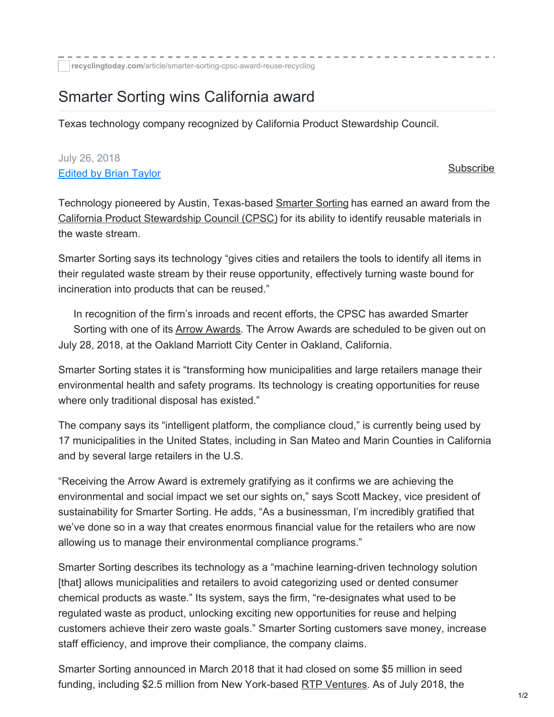## Smarter Sorting wins California award

Texas technology company recognized by California Product Stewardship Council.

## July 26, 2018 [Edited](http://www.recyclingtoday.com/author/2663) by Brian Taylor

## [Subscribe](http://www.recyclingtoday.com/Form/1/RT/subscribe/)

Technology pioneered by Austin, Texas-based [Smarter](https://www.linkedin.com/company/smarter-sorting/?originalSubdomain=hk) Sorting has earned an award from the California Product [Stewardship](https://calpsc.org/) Council (CPSC) for its ability to identify reusable materials in the waste stream.

Smarter Sorting says its technology "gives cities and retailers the tools to identify all items in their regulated waste stream by their reuse opportunity, effectively turning waste bound for incineration into products that can be reused."

In recognition of the firm's inroads and recent efforts, the CPSC has awarded Smarter Sorting with one of its Arrow [Awards](https://calpsc.org/about-us/arrow-awards/). The Arrow Awards are scheduled to be given out on July 28, 2018, at the Oakland Marriott City Center in Oakland, California.

Smarter Sorting states it is "transforming how municipalities and large retailers manage their environmental health and safety programs. Its technology is creating opportunities for reuse where only traditional disposal has existed."

The company says its "intelligent platform, the compliance cloud," is currently being used by 17 municipalities in the United States, including in San Mateo and Marin Counties in California and by several large retailers in the U.S.

"Receiving the Arrow Award is extremely gratifying as it confirms we are achieving the environmental and social impact we set our sights on," says Scott Mackey, vice president of sustainability for Smarter Sorting. He adds, "As a businessman, I'm incredibly gratified that we've done so in a way that creates enormous financial value for the retailers who are now allowing us to manage their environmental compliance programs."

Smarter Sorting describes its technology as a "machine learning-driven technology solution [that] allows municipalities and retailers to avoid categorizing used or dented consumer chemical products as waste." Its system, says the firm, "re-designates what used to be regulated waste as product, unlocking exciting new opportunities for reuse and helping customers achieve their zero waste goals." Smarter Sorting customers save money, increase staff efficiency, and improve their compliance, the company claims.

Smarter Sorting announced in March 2018 that it had closed on some \$5 million in seed funding, including \$2.5 million from New York-based RTP [Ventures](https://www.rtp.vc/). As of July 2018, the